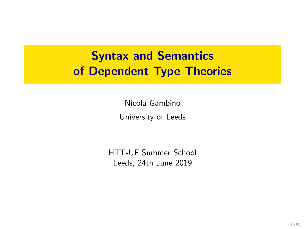# Syntax and Semantics of Dependent Type Theories

Nicola Gambino University of Leeds

HTT-UF Summer School Leeds, 24th June 2019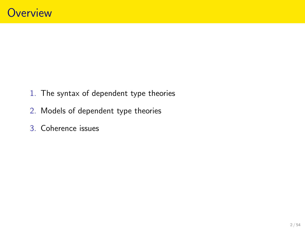- 1. The syntax of dependent type theories
- 2. Models of dependent type theories
- 3. Coherence issues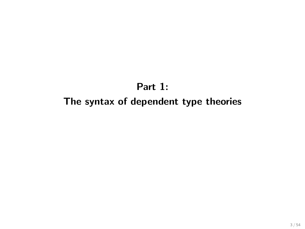## Part 1: The syntax of dependent type theories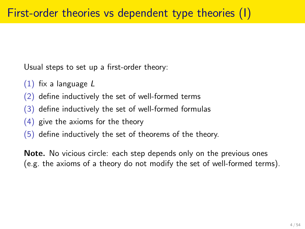Usual steps to set up a first-order theory:

- $(1)$  fix a language L
- (2) define inductively the set of well-formed terms
- (3) define inductively the set of well-formed formulas
- (4) give the axioms for the theory
- (5) define inductively the set of theorems of the theory.

Note. No vicious circle: each step depends only on the previous ones (e.g. the axioms of a theory do not modify the set of well-formed terms).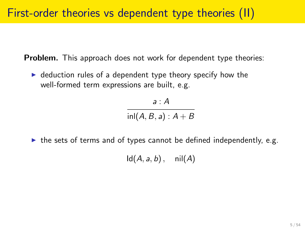Problem. This approach does not work for dependent type theories:

 $\triangleright$  deduction rules of a dependent type theory specify how the well-formed term expressions are built, e.g.

> a : A  $inl(A, B, a): A + B$

 $\triangleright$  the sets of terms and of types cannot be defined independently, e.g.

 $Id(A, a, b)$ , nil $(A)$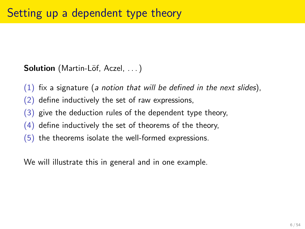Solution (Martin-Löf, Aczel, ...)

- $(1)$  fix a signature (a notion that will be defined in the next slides),
- (2) define inductively the set of raw expressions,
- (3) give the deduction rules of the dependent type theory,
- (4) define inductively the set of theorems of the theory,
- (5) the theorems isolate the well-formed expressions.

We will illustrate this in general and in one example.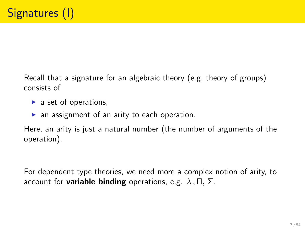Recall that a signature for an algebraic theory (e.g. theory of groups) consists of

- $\blacktriangleright$  a set of operations.
- $\blacktriangleright$  an assignment of an arity to each operation.

Here, an arity is just a natural number (the number of arguments of the operation).

For dependent type theories, we need more a complex notion of arity, to account for **variable binding** operations, e.g.  $\lambda$ ,  $\Pi$ ,  $\Sigma$ .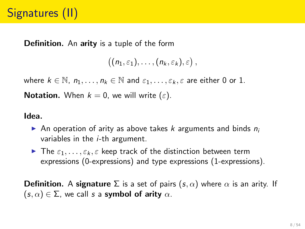Definition. An arity is a tuple of the form

```
((n_1,\varepsilon_1),\ldots,(n_k,\varepsilon_k),\varepsilon),
```
where  $k \in \mathbb{N}$ ,  $n_1, \ldots, n_k \in \mathbb{N}$  and  $\varepsilon_1, \ldots, \varepsilon_k, \varepsilon$  are either 0 or 1.

**Notation.** When  $k = 0$ , we will write  $(\varepsilon)$ .

Idea.

- An operation of arity as above takes k arguments and binds  $n_i$ variables in the  $i$ -th argument.
- $\blacktriangleright$  The  $\varepsilon_1, \ldots, \varepsilon_k, \varepsilon$  keep track of the distinction between term expressions (0-expressions) and type expressions (1-expressions).

**Definition.** A signature  $\Sigma$  is a set of pairs  $(s, \alpha)$  where  $\alpha$  is an arity. If  $(s, \alpha) \in \Sigma$ , we call s a symbol of arity  $\alpha$ .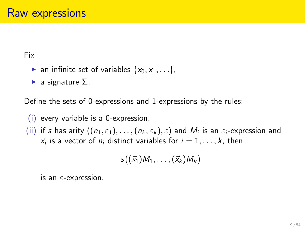Fix

- **an** infinite set of variables  $\{x_0, x_1, \ldots\}$ ,
- $\blacktriangleright$  a signature  $\Sigma$ .

Define the sets of 0-expressions and 1-expressions by the rules:

(i) every variable is a 0-expression,

 $(\mathsf{ii})$  if  $s$  has arity  $((n_1,\varepsilon_1),\ldots,(n_k,\varepsilon_k),\varepsilon)$  and  $M_i$  is an  $\varepsilon_i$ -expression and  $\vec{x}_i$  is a vector of  $n_i$  distinct variables for  $i = 1, \ldots, k$ , then

$$
s((\vec{x}_1)M_1,\ldots,(\vec{x}_k)M_k)
$$

is an  $\varepsilon$ -expression.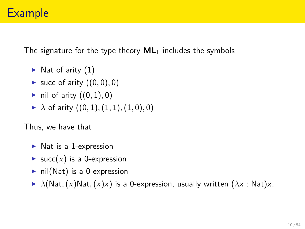The signature for the type theory  $ML_1$  includes the symbols

- $\blacktriangleright$  Nat of arity (1)
- ► succ of arity  $((0, 0), 0)$
- ightharpoonup in  $\mathsf{I}(\{0,1\},0)$
- $\blacktriangleright$   $\lambda$  of arity  $((0, 1), (1, 1), (1, 0), 0)$

Thus, we have that

- $\blacktriangleright$  Nat is a 1-expression
- $\blacktriangleright$  succ(x) is a 0-expression
- $\triangleright$  nil(Nat) is a 0-expression
- $\blacktriangleright$   $\lambda$ (Nat, (x)Nat, (x)x) is a 0-expression, usually written ( $\lambda x$ : Nat)x.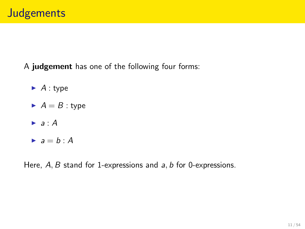A judgement has one of the following four forms:

- $\blacktriangleright$  A : type
- $A = B$  : type
- $\blacktriangleright$  a : A
- $\rightarrow a = b : A$

Here,  $A, B$  stand for 1-expressions and  $a, b$  for 0-expressions.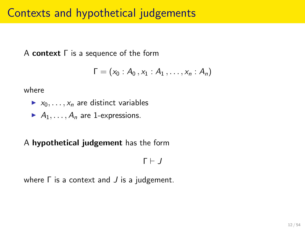## Contexts and hypothetical judgements

A context Γ is a sequence of the form

$$
\Gamma=(x_0:A_0,x_1:A_1,\ldots,x_n:A_n)
$$

where

- $x_0, \ldots, x_n$  are distinct variables
- $A_1, \ldots, A_n$  are 1-expressions.

A hypothetical judgement has the form

 $Γ ⊢ J$ 

where  $\Gamma$  is a context and  $J$  is a judgement.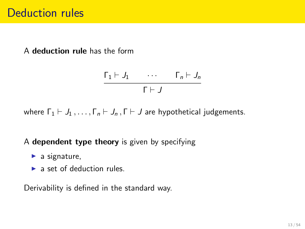A deduction rule has the form

$$
\frac{\Gamma_1 \vdash J_1 \qquad \cdots \qquad \Gamma_n \vdash J_n}{\Gamma \vdash J}
$$

where  $\Gamma_1 \vdash J_1, \ldots, \Gamma_n \vdash J_n, \Gamma \vdash J$  are hypothetical judgements.

#### A dependent type theory is given by specifying

- $\blacktriangleright$  a signature,
- $\blacktriangleright$  a set of deduction rules.

Derivability is defined in the standard way.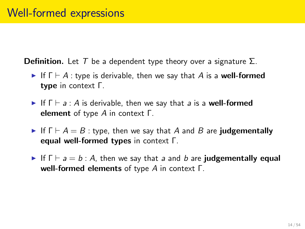**Definition.** Let T be a dependent type theory over a signature  $\Sigma$ .

- If  $\Gamma \vdash A$ : type is derivable, then we say that A is a well-formed type in context Γ.
- If  $\Gamma \vdash a : A$  is derivable, then we say that a is a well-formed element of type A in context Γ.
- If  $\Gamma \vdash A = B$ : type, then we say that A and B are judgementally equal well-formed types in context Γ.
- If  $\Gamma \vdash a = b : A$ , then we say that a and b are judgementally equal well-formed elements of type A in context Γ.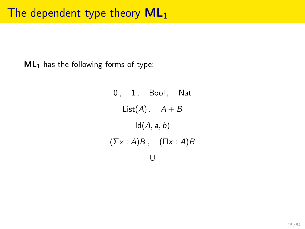$ML<sub>1</sub>$  has the following forms of type:

 $0, 1,$  Bool, Nat List(A),  $A + B$  $Id(A, a, b)$  $(\Sigma x : A)B$ ,  $(\Pi x : A)B$ U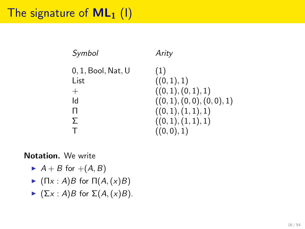# The signature of  $ML_1$  (1)

| Symbol                        | Arity                                              |
|-------------------------------|----------------------------------------------------|
| $0, 1$ . Bool. Nat. U<br>List | (1)<br>((0, 1), 1)                                 |
| $^{+}$<br>ld                  | ((0, 1), (0, 1), 1)<br>((0, 1), (0, 0), (0, 0), 1) |
| п                             | ((0,1),(1,1),1)                                    |
| Σ                             | ((0,1),(1,1),1)                                    |
| т                             | ((0,0),1)                                          |

#### Notation. We write

- $\blacktriangleright$  A + B for +(A, B)
- $\blacktriangleright$  (Πx : A)B for  $\Pi(A,(x)B)$
- $\blacktriangleright$   $(\Sigma x : A)B$  for  $\Sigma(A,(x)B)$ .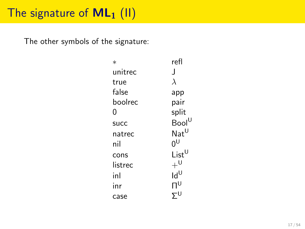# The signature of  $ML_1$  (II)

The other symbols of the signature:

| $\ast$  | refl                        |
|---------|-----------------------------|
| unitrec | $\mathbf{I}$                |
| true    | $\lambda$                   |
| false   | app                         |
| boolrec | pair                        |
| 0       | split                       |
| succ    | $Bool^U$                    |
| natrec  | $\mathsf{Nat}^{\mathsf{U}}$ |
| nil     | ŋυ                          |
| cons    | $List^{\mathsf{U}}$         |
| listrec | $+^0$                       |
| inl     | $\mathsf{Id}^\mathsf{U}$    |
| inr     | $\Pi^{\textsf{U}}$          |
| case    |                             |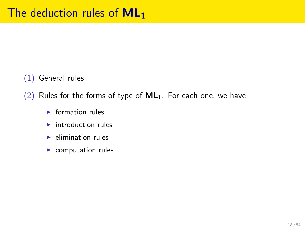### (1) General rules

(2) Rules for the forms of type of  $ML_1$ . For each one, we have

- $\blacktriangleright$  formation rules
- $\blacktriangleright$  introduction rules
- $\blacktriangleright$  elimination rules
- $\blacktriangleright$  computation rules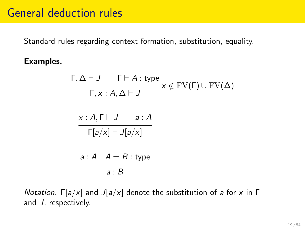### General deduction rules

Standard rules regarding context formation, substitution, equality.

#### Examples.

$$
\frac{\Gamma,\Delta\vdash J\qquad \Gamma\vdash A:\text{type}}{\Gamma,x:A,\Delta\vdash J}\,x\notin\text{FV}(\Gamma)\cup\text{FV}(\Delta)
$$

$$
\frac{x:A,\Gamma\vdash J\qquad a:A}{\Gamma[a/x]\vdash J[a/x]}
$$

$$
a : A \quad A = B : \text{type}
$$
\n
$$
a : B
$$

Notation.  $\Gamma[a/x]$  and  $J[a/x]$  denote the substitution of a for x in Γ and J, respectively.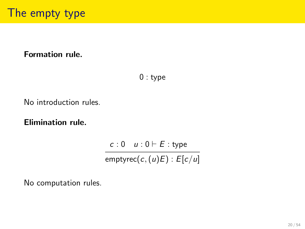### Formation rule.

0 : type

No introduction rules.

Elimination rule.

 $c : 0 \quad u : 0 \vdash E :$  type emptyrec( $c$ ,  $(u)E$ ) :  $E[c/u]$ 

No computation rules.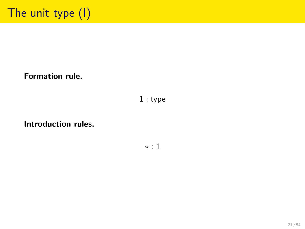Formation rule.

1 : type

Introduction rules.

∗ : 1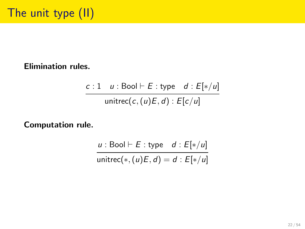Elimination rules.

$$
\frac{c:1 \quad u: \text{Bool} \vdash E: \text{type} \quad d: E[*/u]}{\text{unitrec}(c, (u)E, d): E[c/u]}
$$

Computation rule.

$$
\frac{u: \text{Bool} \vdash E: \text{type} \quad d: E[*/u]}{\text{unitrec}(*, (u)E, d) = d: E[*/u]}
$$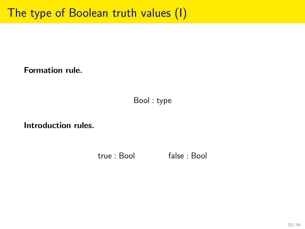Formation rule.

Bool : type

Introduction rules.

true : Bool false : Bool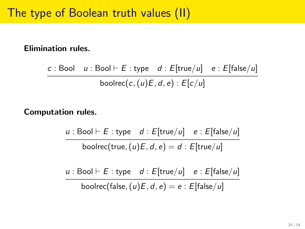#### Elimination rules.

c : Bool  $u$  : Bool  $\vdash$  E : type  $d$  : E[true/u] e : E[false/u] boolrec(c,  $(u)E$ , d, e) :  $E[c/u]$ 

#### Computation rules.

u : Bool  $\vdash$  E : type d : E[true/u] e : E[false/u] boolrec(true,  $(u)E$ ,  $d$ ,  $e$ ) =  $d$  :  $E$ [true/u]

u : Bool  $\vdash$  E : type d : E[true/u] e : E[false/u] boolrec(false,  $(u)E, d, e$ ) = e : E[false/u]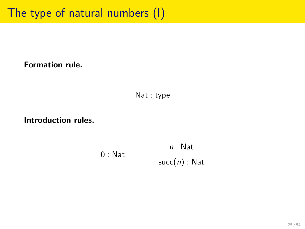Formation rule.

Nat : type

Introduction rules.

 $0:$  Nat n : Nat succ $(n)$ : Nat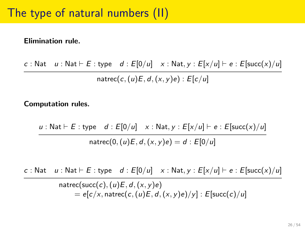#### Elimination rule.

c : Nat  $u$  : Nat  $\vdash$  E : type  $d$  : E[0/u]  $x$  : Nat,  $y$  : E[ $x/u$ ]  $\vdash$  e : E[succ(x)/u] natrec(c,  $(u)E$ ,  $d$ ,  $(x, y)e$ ) :  $E[c/u]$ 

Computation rules.

u : Nat  $\vdash$  E : type d : E[0/u] x : Nat, y : E[x/u]  $\vdash$  e : E[succ(x)/u] natrec(0,  $(u)E, d, (x, v)e$ ) = d :  $E[0/u]$ 

c : Nat  $u$  : Nat  $\vdash$  E : type  $d : E[0/u] \times$  : Nat,  $y : E[x/u] \vdash e : E[\text{succ}(x)/u]$ 

$$
n \text{atrec}(\text{succ}(c), (u)E, d, (x, y)e)
$$
  
= e[c/x, n \text{atrec}(c, (u)E, d, (x, y)e)/y]: E[\text{succ}(c)/u]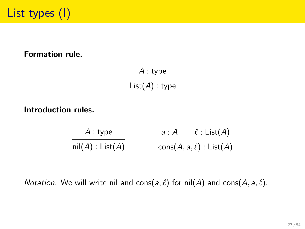#### Formation rule.

A : type  $List(A)$  : type

Introduction rules.

$$
\cfrac{A : \mathsf{type}}{\mathsf{nil}(A) : \mathsf{List}(A)} \qquad \qquad \cfrac{a : A \qquad \ell : \mathsf{List}(A)}{\mathsf{cons}(A, a, \ell) : \mathsf{List}(A)}
$$

*Notation*. We will write nil and cons( $a, \ell$ ) for nil(A) and cons( $A, a, \ell$ ).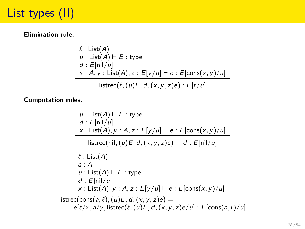# List types (II)

Elimination rule.

$$
\ell : List(A)
$$
\n
$$
u : List(A) \vdash E : type
$$
\n
$$
d : E[nil/u]
$$
\n
$$
x : A, y : List(A), z : E[y/u] \vdash e : E[cons(x, y)/u]
$$
\n
$$
|inter(\ell, (u)E, d, (x, y, z)e) : E[\ell/u]
$$

Computation rules.

 $u :$  List $(A) \vdash E :$  type  $d : E[*nil*/u]$ x : List(A),  $y : A, z : E[y/u] \vdash e : E[\text{cons}(x, y)/u]$ listrec(nil,  $(u)E$ ,  $d$ ,  $(x, y, z)e$ ) = d :  $E[ni/u]$  $\ell$  : List(A)  $a \cdot A$  $u :$  List(A)  $\vdash$  E : type  $d : E[*nil*/u]$ x : List(A),  $y : A, z : E[y/u] \vdash e : E[cons(x, y)/u]$ listrec(cons(a,  $\ell$ ), (u)E, d, (x, y, z)e) =  $e[\ell/x, a/y,$  listrec $(\ell, (u)E, d, (x, y, z)e/u]$  :  $E$ [cons(a,  $\ell$ )/u]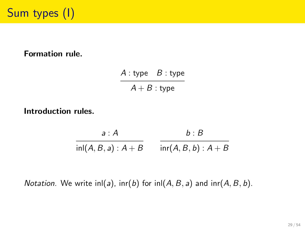#### Formation rule.

 $A:$  type  $B:$  type  $A + B$  : type

Introduction rules.

 $a : A$  $\textsf{inl}(A,B,a): A + B$  inr $(A,B,b): A + B$  $b : B$ 

*Notation.* We write inl(a),  $\text{inc}(b)$  for  $\text{ln}(A, B, a)$  and  $\text{inc}(A, B, b)$ .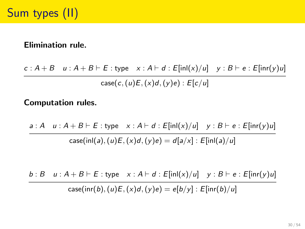#### Elimination rule.

 $c : A + B$   $u : A + B \vdash E$ : type  $x : A \vdash d : E[\text{in}I(x)/u]$   $y : B \vdash e : E[\text{in}I(y)u]$ case(c,  $(u)E$ ,  $(x)d$ ,  $(y)e$ ) :  $E[c/u]$ 

#### Computation rules.

 $a : A \cup A + B \vdash E :$  type  $x : A \vdash d : E[\text{in}I(x)/u] \cup y : B \vdash e : E[\text{in}I(y)u]$ case(inl(a),  $(u)E(x)d(y)e$ ) = d[a/x] : E[inl(a)/u]

$$
\frac{b:B \quad u:A+B\vdash E:\text{type}\quad x:A\vdash d:E[\text{in}I(x)/u] \quad y:B\vdash e:E[\text{in}r(y)u]}{\text{case}(\text{in}r(b),(u)E,(x)d,(y)e)=e[b/y]:E[\text{in}r(b)/u]}
$$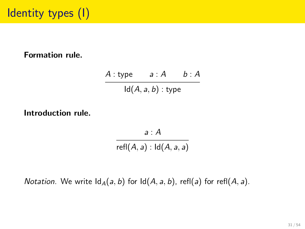#### Formation rule.

 $A : type$   $a : A$   $b : A$  $Id(A, a, b)$ : type

Introduction rule.

a : A

 $refl(A, a) : ld(A, a, a)$ 

*Notation.* We write  $\text{Id}_{A}(a, b)$  for  $\text{Id}(A, a, b)$ , refl(a) for refl(A, a).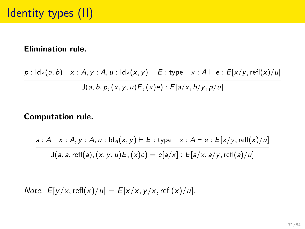#### Elimination rule.

 $p : \mathsf{Id}_A(a, b) \times : A, y : A, u : \mathsf{Id}_A(x, y) \vdash E : \mathsf{type} \times : A \vdash e : E[x/y, \mathsf{refl}(x)/u]$  $J(a, b, p, (x, y, u)E, (x)e) : E[a/x, b/y, p/u]$ 

#### Computation rule.

$$
a:A \quad x:A, y:A, u: \mathsf{Id}_A(x,y) \vdash E: \mathsf{type} \quad x:A \vdash e:E[x/y, \mathsf{refl}(x)/u]
$$

 $J(a, a, \text{refl}(a), (x, y, u)E, (x)e) = e[a/x] : E[a/x, a/y, \text{refl}(a)/u]$ 

Note.  $E[y/x, \text{refl}(x)/u] = E[x/x, y/x, \text{refl}(x)/u]$ .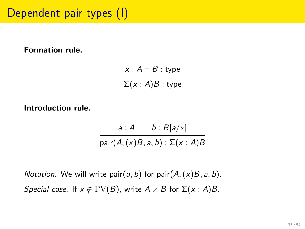Formation rule.

 $x : A \vdash B :$  type  $\Sigma(x:A)B:$  type

Introduction rule.

 $a : A \t b : B[a/x]$ pair $(A, (x)B, a, b) : \Sigma(x : A)B$ 

*Notation.* We will write pair(a, b) for pair( $A$ ,  $(x)B$ ,  $a$ , b). Special case. If  $x \notin FV(B)$ , write  $A \times B$  for  $\Sigma(x : A)B$ .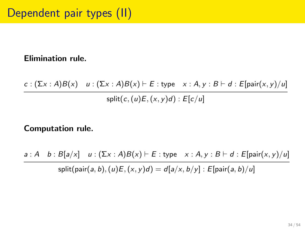#### Elimination rule.

$$
\frac{c:(\sum x:A)B(x) \quad u:(\sum x:A)B(x)\vdash E:\text{type} \quad x:A,y:B\vdash d:E[\text{pair}(x,y)/u]}{\text{split}(c,(u)E,(x,y)d):E[c/u]}
$$

### Computation rule.

 $a : A \quad b : B[a/x] \quad u : (\Sigma x : A)B(x) \vdash E :$  type  $x : A, y : B \vdash d : E[pair(x, y)/u]$ 

split(pair(a, b),  $(u)E$ ,  $(x, y)d$ ) =  $d[a/x, b/y]$  :  $E[pair(a, b)/u]$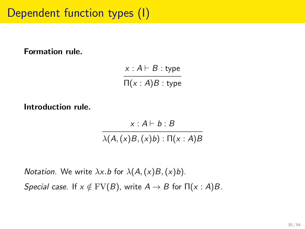# Dependent function types (I)

#### Formation rule.

 $x : A \vdash B :$  type  $\Pi(x:A)B:$  type

Introduction rule.

 $x \cdot A \vdash b \cdot B$ 

 $\lambda(A,(x)B,(x)b) : \Pi(x:A)B$ 

*Notation.* We write  $\lambda x.b$  for  $\lambda(A,(x)B,(x)b)$ . Special case. If  $x \notin FV(B)$ , write  $A \to B$  for  $\Pi(x : A)B$ .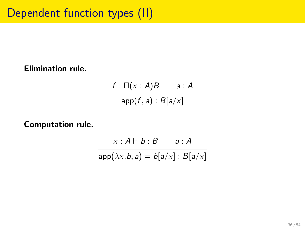Elimination rule.

 $f : \Pi(x : A)B$  a: A  $app(f, a) : B[a/x]$ 

Computation rule.

$$
x : A \vdash b : B \qquad a : A
$$
\n
$$
\overline{\text{app}(\lambda x.b, a)} = b[a/x] : B[a/x]
$$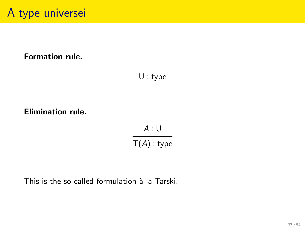### Formation rule.

U : type

### Elimination rule.

.

 $A:U$  $T(A)$  : type

This is the so-called formulation à la Tarski.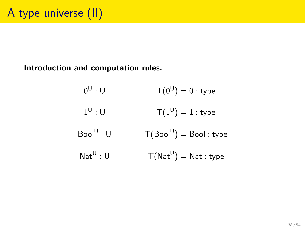Introduction and computation rules.

 $0^{\mathsf{U}}: \mathsf{U}$  $T(0^{\mathrm{U}})=0$  : type  $1^{\mathsf{U}}: \mathsf{U}$  $T(1^{\text{U}}) = 1$  : type  $Bool^U: U$  $:U$   $\mathsf{T}(\mathsf{Bool}^\mathsf{U}) = \mathsf{Bool} : \mathsf{type}$  $Nat^U: U$ : U  $\mathsf{T}(\mathsf{Nat}^{\mathsf{U}}) = \mathsf{Nat} : \mathsf{type}$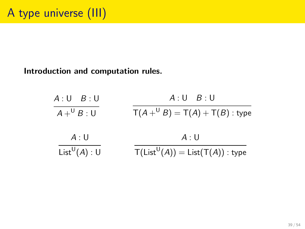#### Introduction and computation rules.

| A:U B:U                             | $A:U \quad B:U$                                                                 |
|-------------------------------------|---------------------------------------------------------------------------------|
| $A+^{\mathsf{U}}B:\mathsf{U}$       | $T(A +^{U} B) = T(A) + T(B)$ : type                                             |
| A:U                                 | A:U                                                                             |
| $List^{\mathsf{U}}(A):{\mathsf{U}}$ | $\mathsf{T}(\mathsf{List}^\mathsf{U}(A)) = \mathsf{List}(\mathsf{T}(A))$ : type |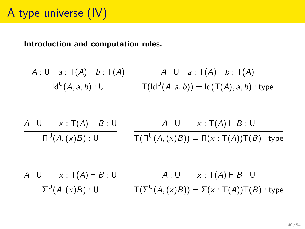Introduction and computation rules.

$$
\frac{A:U \t a:T(A) \t b:T(A)}{Id^{U}(A,a,b):U} \t \frac{A:U \t a:T(A) \t b:T(A)}{T(Id^{U}(A,a,b))=Id(T(A),a,b):type}
$$

$$
\cfrac{A:U \qquad x: T(A) \vdash B:U}{\Pi^U(A,(x)B):U} \qquad \cfrac{A:U \qquad x: T(A) \vdash B:U}{T(\Pi^U(A,(x)B)) = \Pi(x: T(A))T(B): \text{type}}
$$

$$
\frac{A:U \quad x: \text{T}(A) \vdash B:U}{\Sigma^{\text{U}}(A,(x)B):U} \qquad \frac{A:U \quad x: \text{T}(A) \vdash B:U}{\text{T}(\Sigma^{\text{U}}(A,(x)B)) = \Sigma(x: \text{T}(A))\text{T}(B): \text{type}}
$$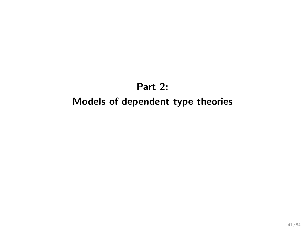## Part 2: Models of dependent type theories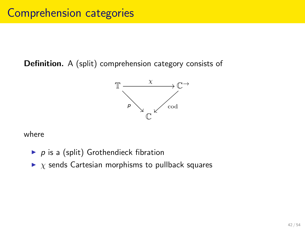Definition. A (split) comprehension category consists of



where

- $\blacktriangleright$  p is a (split) Grothendieck fibration
- $\triangleright$  x sends Cartesian morphisms to pullback squares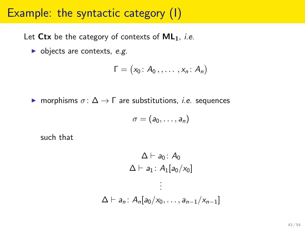### Example: the syntactic category (I)

Let  $Ctx$  be the category of contexts of  $ML_1$ , *i.e.* 

 $\blacktriangleright$  objects are contexts, e.g.

$$
\Gamma=\big(x_0\colon A_0\,,\ldots\,,x_n\colon A_n\big)
$$

 $\triangleright$  morphisms  $\sigma$ :  $\Delta \rightarrow \Gamma$  are substitutions, *i.e.* sequences

$$
\sigma=(a_0,\ldots,a_n)
$$

such that

$$
\Delta \vdash a_0 : A_0
$$
\n
$$
\Delta \vdash a_1 : A_1[a_0/x_0]
$$
\n
$$
\vdots
$$
\n
$$
\Delta \vdash a_n : A_n[a_0/x_0, \ldots, a_{n-1}/x_{n-1}]
$$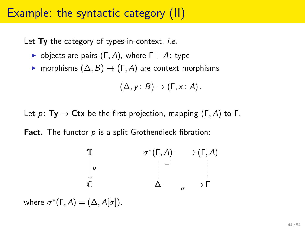### Example: the syntactic category (II)

Let  $Ty$  the category of types-in-context, *i.e.* 

- $\triangleright$  objects are pairs  $(\Gamma, A)$ , where  $\Gamma \vdash A$ : type
- $\triangleright$  morphisms  $(Δ, B) → (Γ, A)$  are context morphisms

$$
(\Delta,y\colon B)\to (\Gamma,x\colon A)\,.
$$

Let  $p: Ty \rightarrow Ctx$  be the first projection, mapping  $(\Gamma, A)$  to  $\Gamma$ .

Fact. The functor  $p$  is a split Grothendieck fibration:

$$
\begin{array}{ccc}\n\mathbb{T} & & \sigma^*(\Gamma, A) \longrightarrow (\Gamma, A) \\
\downarrow \rho & & \downarrow \qquad & \downarrow \\
\mathbb{C} & & \Delta \longrightarrow \Gamma\n\end{array}
$$

where  $\sigma^*(\Gamma, A) = (\Delta, A[\sigma]).$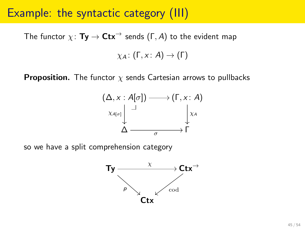### Example: the syntactic category (III)

The functor  $\chi: Ty \to Ctx^{\rightarrow}$  sends (Γ, A) to the evident map  $y_A: (\Gamma, x: A) \rightarrow (\Gamma)$ 

**Proposition.** The functor  $\chi$  sends Cartesian arrows to pullbacks



so we have a split comprehension category

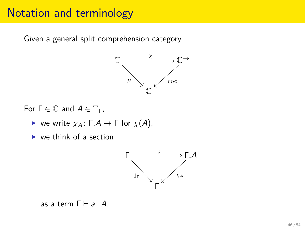### Notation and terminology

Given a general split comprehension category



For  $\Gamma \in \mathbb{C}$  and  $A \in \mathbb{T}_{\Gamma}$ ,

- $\triangleright$  we write  $\chi_A : \Gamma.A \to \Gamma$  for  $\chi(A)$ ,
- $\triangleright$  we think of a section



as a term  $\Gamma \vdash a : A$ .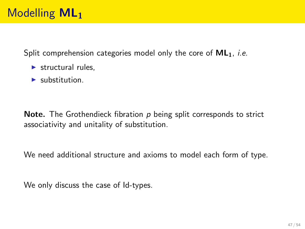Split comprehension categories model only the core of  $ML_1$ , *i.e.* 

- $\blacktriangleright$  structural rules.
- $\blacktriangleright$  substitution.

**Note.** The Grothendieck fibration  $p$  being split corresponds to strict associativity and unitality of substitution.

We need additional structure and axioms to model each form of type.

We only discuss the case of Id-types.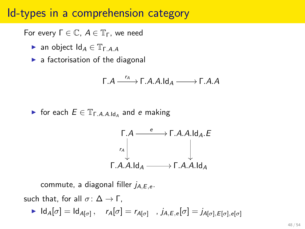### Id-types in a comprehension category

For every  $Γ ∈ C, A ∈ T<sub>Γ</sub>$ , we need

- **E** an object  $Id_A \in \mathbb{T}_{\Gamma \cap AA}$
- $\blacktriangleright$  a factorisation of the diagonal

$$
\Gamma.A \xrightarrow{r_A} \Gamma.A.A.ld_A \xrightarrow{ } \Gamma.A.A
$$

For each  $E \in \mathbb{T}_{\Gamma.A.A.ld_A}$  and e making

$$
\begin{array}{ccc}\n\Gamma.A & \xrightarrow{\quad e} & \Gamma.A.A.ld_A.E \\
\downarrow \uparrow & & \downarrow \\
\Gamma.A.A.ld_A & \xrightarrow{\quad} & \Gamma.A.A.ld_A\n\end{array}
$$

commute, a diagonal filler  $j_{A,E,e}$ .

such that, for all  $\sigma: \Delta \to \Gamma$ ,

 $\blacktriangleright$   $\mathsf{Id}_A[\sigma] = \mathsf{Id}_{A[\sigma]}, \quad r_A[\sigma] = r_{A[\sigma]} \quad, j_{A,E,e}[\sigma] = j_{A[\sigma],E[\sigma],e[\sigma]}$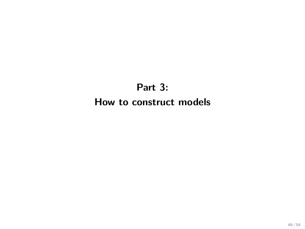### Part 3: How to construct models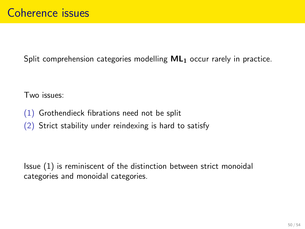Split comprehension categories modelling  $ML<sub>1</sub>$  occur rarely in practice.

Two issues:

- (1) Grothendieck fibrations need not be split
- (2) Strict stability under reindexing is hard to satisfy

Issue (1) is reminiscent of the distinction between strict monoidal categories and monoidal categories.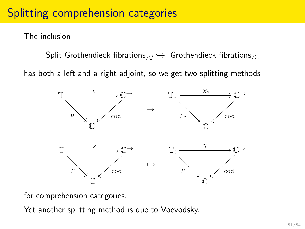## Splitting comprehension categories

The inclusion

Split Grothendieck fibrations $\zeta_{\mathbb{C}} \hookrightarrow$  Grothendieck fibrations $\zeta_{\mathbb{C}}$ 

has both a left and a right adjoint, so we get two splitting methods



for comprehension categories.

Yet another splitting method is due to Voevodsky.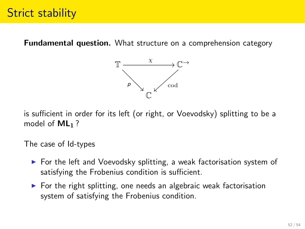Fundamental question. What structure on a comprehension category



is sufficient in order for its left (or right, or Voevodsky) splitting to be a model of  $ML_1$ ?

The case of Id-types

- $\triangleright$  For the left and Voevodsky splitting, a weak factorisation system of satisfying the Frobenius condition is sufficient.
- $\triangleright$  For the right splitting, one needs an algebraic weak factorisation system of satisfying the Frobenius condition.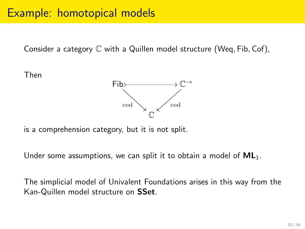### Example: homotopical models

Consider a category  $\mathbb C$  with a Quillen model structure (Weq, Fib, Cof),

Then



is a comprehension category, but it is not split.

Under some assumptions, we can split it to obtain a model of  $ML_1$ .

The simplicial model of Univalent Foundations arises in this way from the Kan-Quillen model structure on SSet.